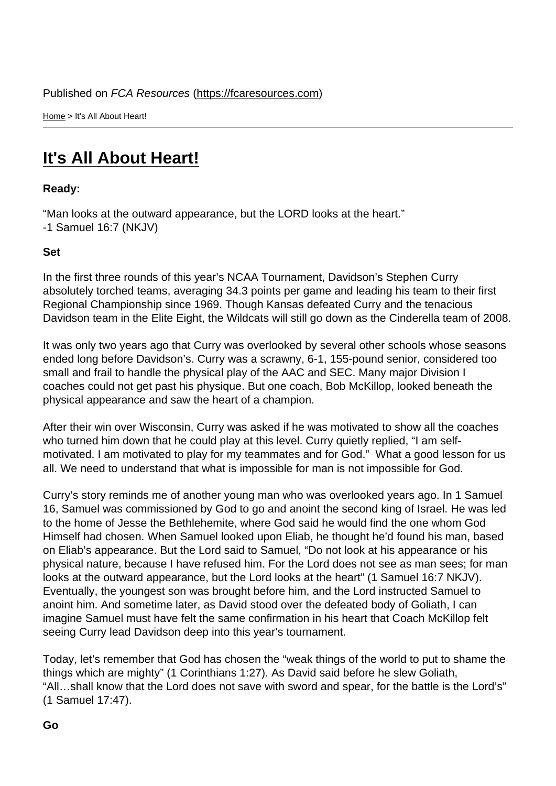Home > It's All About Heart!

## [It](https://fcaresources.com/)'[s](https://fcaresources.com/) All About Heart!

Ready:

["Man looks at the outward appe](https://fcaresources.com/devotional/its-all-about-heart-0)arance, but the LORD looks at the heart." -1 Samuel 16:7 (NKJV)

Set

In the first three rounds of this year's NCAA Tournament, Davidson's Stephen Curry absolutely torched teams, averaging 34.3 points per game and leading his team to their first Regional Championship since 1969. Though Kansas defeated Curry and the tenacious Davidson team in the Elite Eight, the Wildcats will still go down as the Cinderella team of 2008.

It was only two years ago that Curry was overlooked by several other schools whose seasons ended long before Davidson's. Curry was a scrawny, 6-1, 155-pound senior, considered too small and frail to handle the physical play of the AAC and SEC. Many major Division I coaches could not get past his physique. But one coach, Bob McKillop, looked beneath the physical appearance and saw the heart of a champion.

After their win over Wisconsin, Curry was asked if he was motivated to show all the coaches who turned him down that he could play at this level. Curry quietly replied, "I am selfmotivated. I am motivated to play for my teammates and for God." What a good lesson for us all. We need to understand that what is impossible for man is not impossible for God.

Curry's story reminds me of another young man who was overlooked years ago. In 1 Samuel 16, Samuel was commissioned by God to go and anoint the second king of Israel. He was led to the home of Jesse the Bethlehemite, where God said he would find the one whom God Himself had chosen. When Samuel looked upon Eliab, he thought he'd found his man, based on Eliab's appearance. But the Lord said to Samuel, "Do not look at his appearance or his physical nature, because I have refused him. For the Lord does not see as man sees; for man looks at the outward appearance, but the Lord looks at the heart" (1 Samuel 16:7 NKJV). Eventually, the youngest son was brought before him, and the Lord instructed Samuel to anoint him. And sometime later, as David stood over the defeated body of Goliath, I can imagine Samuel must have felt the same confirmation in his heart that Coach McKillop felt seeing Curry lead Davidson deep into this year's tournament.

Today, let's remember that God has chosen the "weak things of the world to put to shame the things which are mighty" (1 Corinthians 1:27). As David said before he slew Goliath, "All…shall know that the Lord does not save with sword and spear, for the battle is the Lord's" (1 Samuel 17:47).